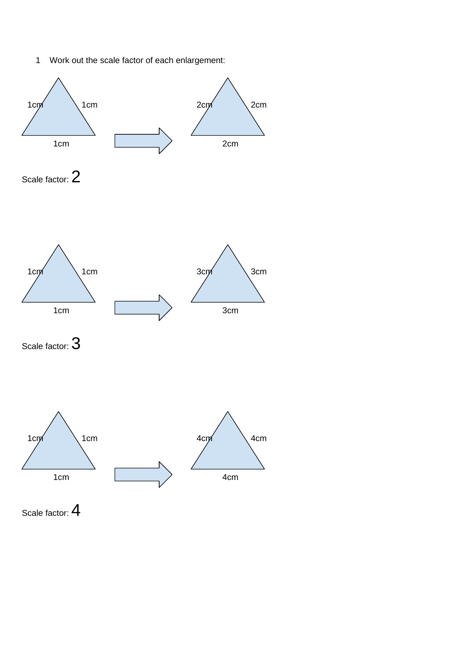

1 Work out the scale factor of each enlargement:





Scale factor:  $4$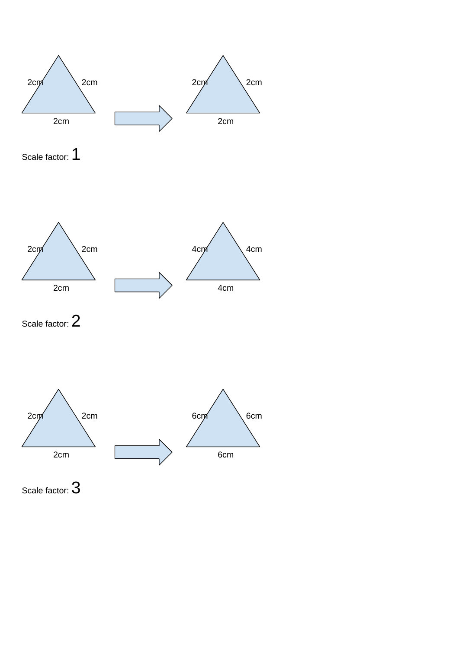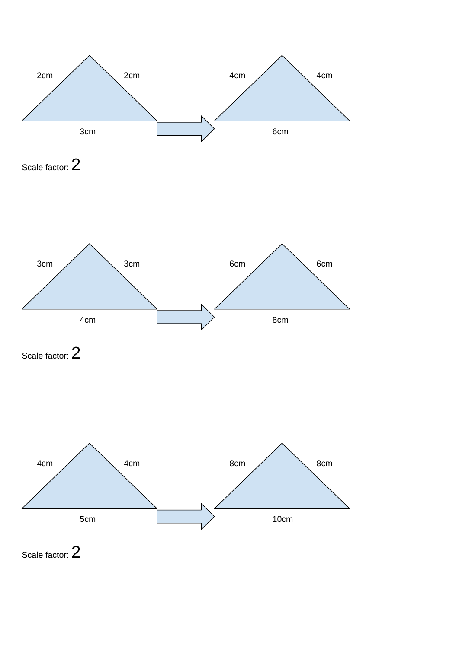

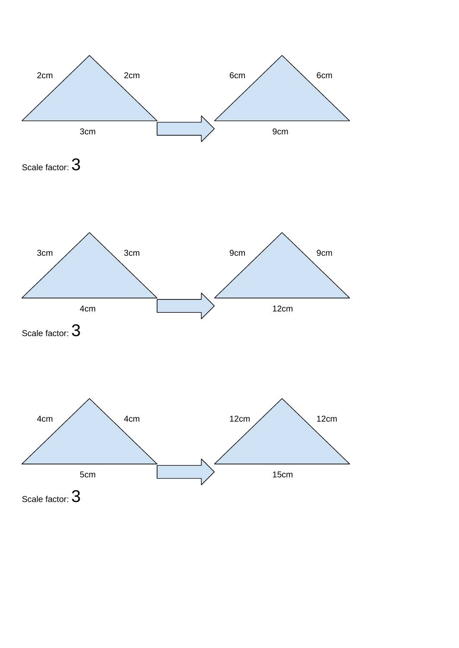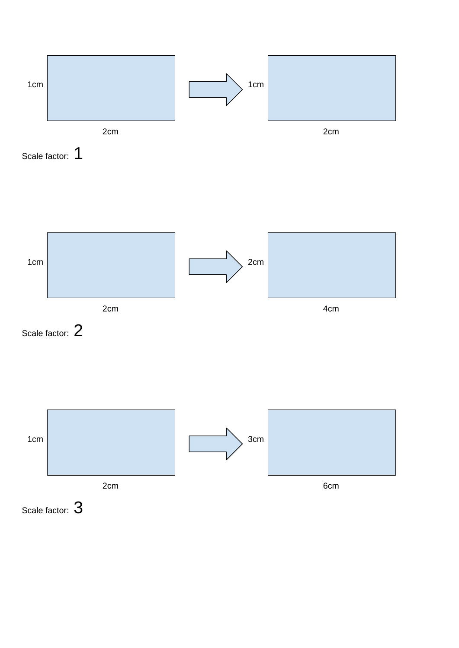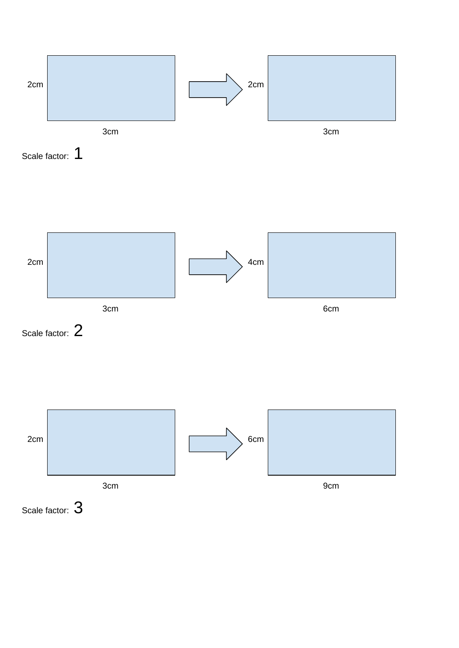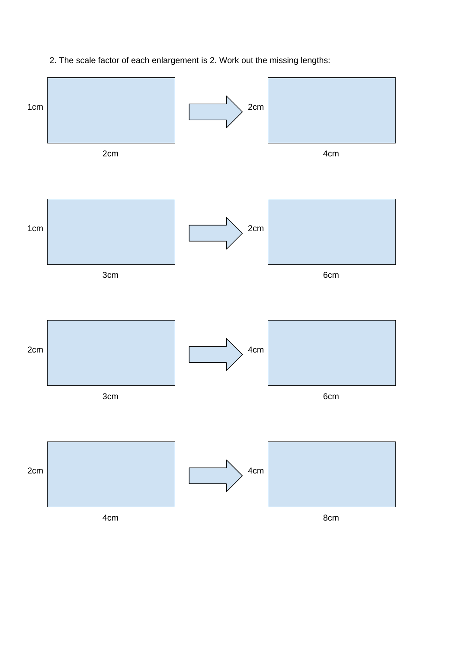# 2. The scale factor of each enlargement is 2. Work out the missing lengths:

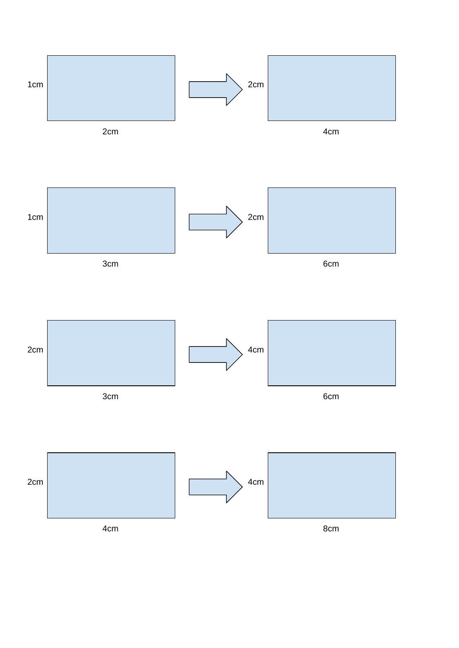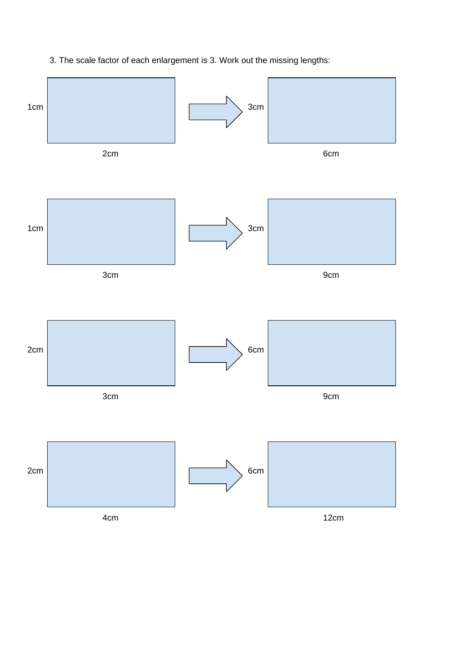

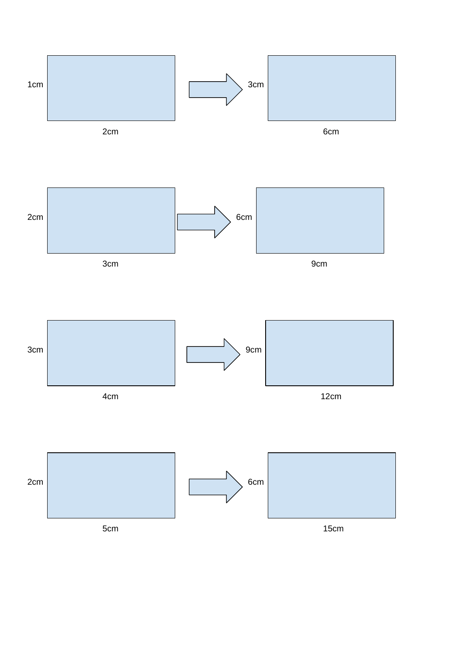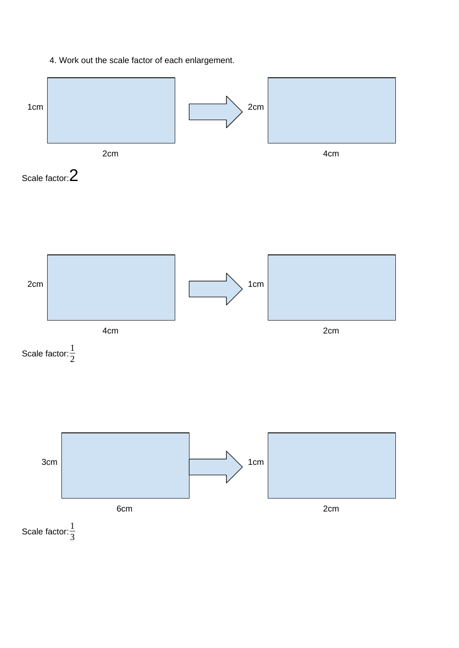# 4. Work out the scale factor of each enlargement.

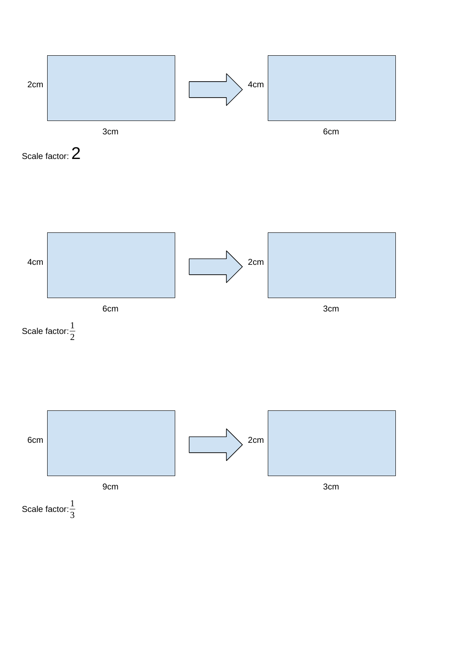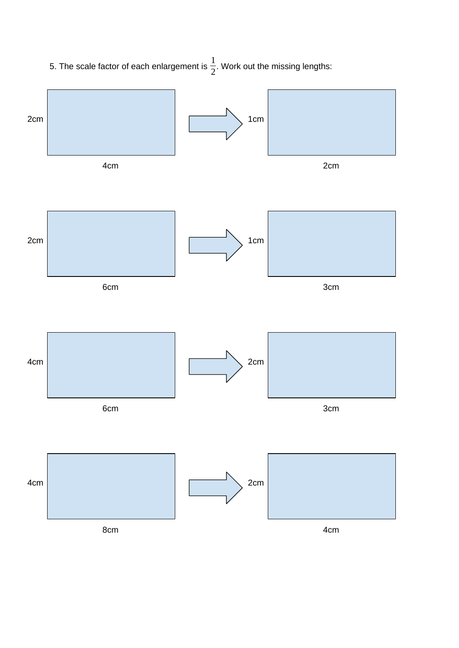5. The scale factor of each enlargement is  $\frac{1}{2}$ . Work out the missing lengths:

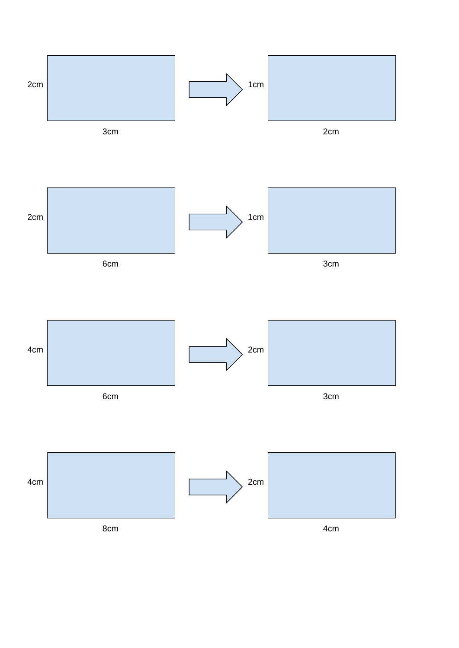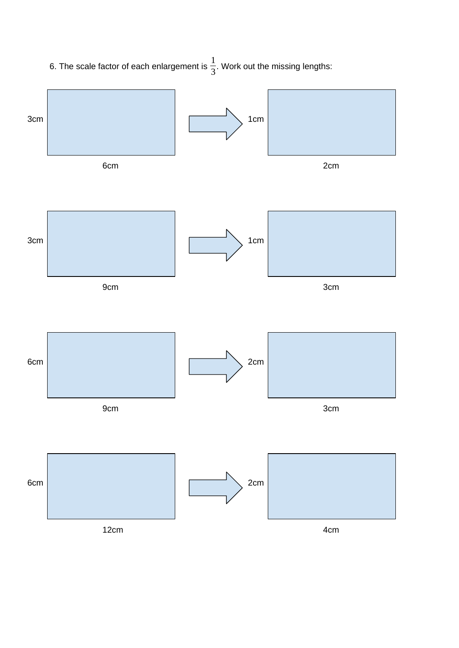6. The scale factor of each enlargement is  $\frac{1}{3}$ . Work out the missing lengths:

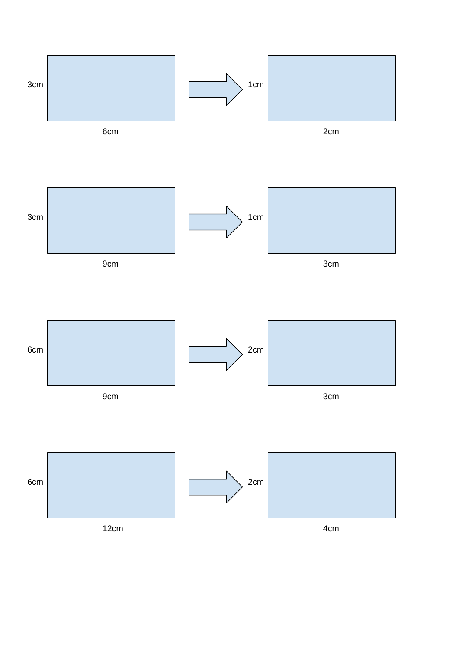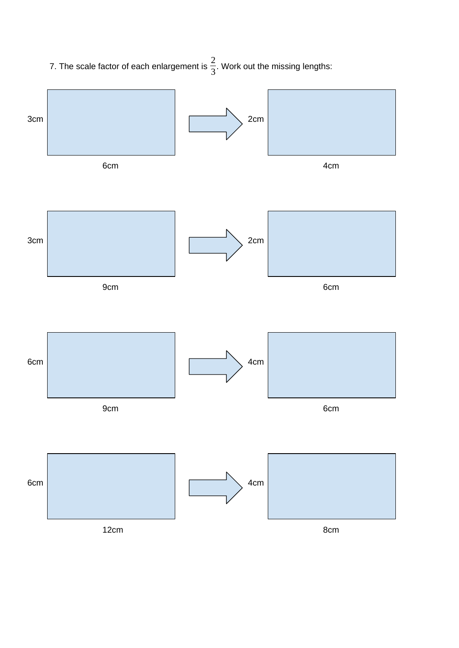7. The scale factor of each enlargement is  $\frac{2}{3}$ . Work out the missing lengths:

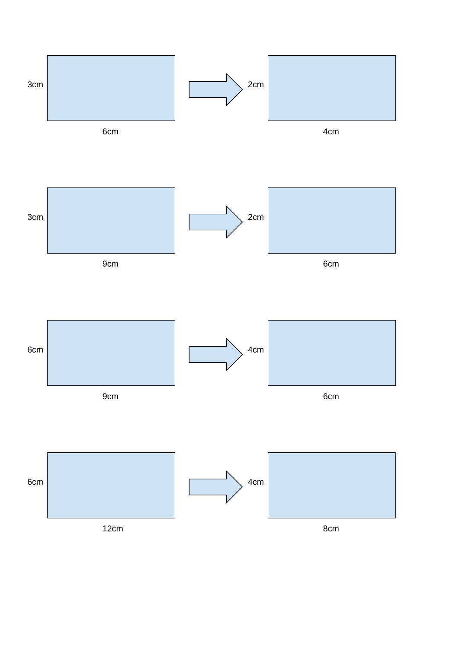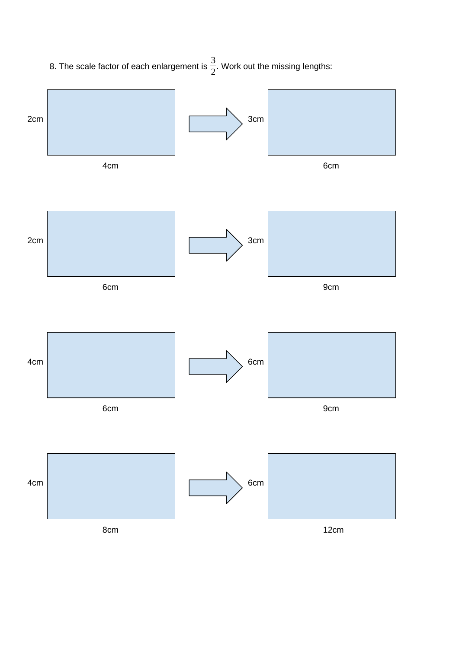8. The scale factor of each enlargement is  $\frac{3}{2}$ . Work out the missing lengths:

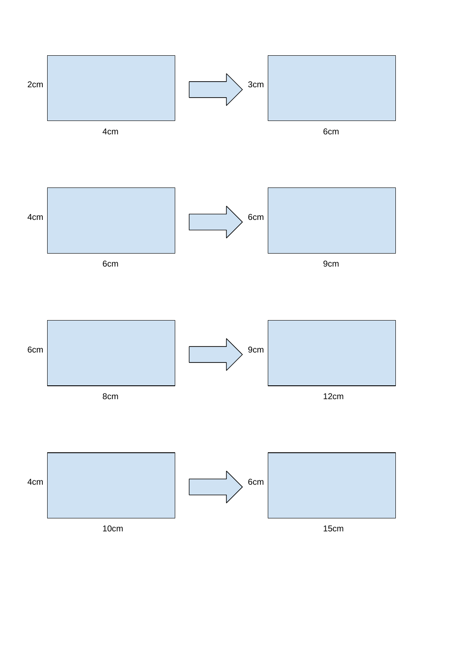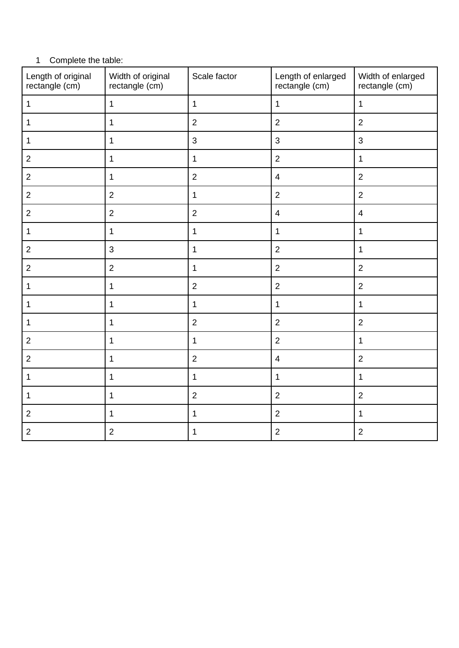# Complete the table:

| Length of original<br>rectangle (cm) | Width of original<br>rectangle (cm) | Scale factor   | Length of enlarged<br>rectangle (cm) | Width of enlarged<br>rectangle (cm) |
|--------------------------------------|-------------------------------------|----------------|--------------------------------------|-------------------------------------|
| $\mathbf 1$                          | $\mathbf{1}$                        | $\mathbf{1}$   | $\mathbf 1$                          | $\mathbf 1$                         |
| $\mathbf 1$                          | $\mathbf{1}$                        | $\overline{2}$ | $\overline{2}$                       | $\overline{2}$                      |
| $\mathbf{1}$                         | $\mathbf 1$                         | $\mathsf{3}$   | 3                                    | 3                                   |
| $\overline{c}$                       | $\mathbf{1}$                        | $\mathbf{1}$   | $\overline{2}$                       | $\mathbf{1}$                        |
| $\mathbf{2}$                         | $\mathbf{1}$                        | $\overline{2}$ | $\overline{4}$                       | $\overline{2}$                      |
| $\overline{c}$                       | $\overline{c}$                      | $\mathbf 1$    | $\overline{2}$                       | $\overline{2}$                      |
| $\overline{c}$                       | $\overline{2}$                      | $\overline{2}$ | $\overline{4}$                       | $\overline{4}$                      |
| $\mathbf 1$                          | $\mathbf 1$                         | $\mathbf 1$    | $\mathbf 1$                          | $\mathbf 1$                         |
| $\overline{c}$                       | $\mathsf 3$                         | $\mathbf 1$    | $\overline{2}$                       | $\mathbf 1$                         |
| $\overline{c}$                       | $\overline{2}$                      | $\mathbf{1}$   | $\overline{2}$                       | $\overline{2}$                      |
| $\mathbf 1$                          | $\mathbf{1}$                        | $\overline{2}$ | $\overline{2}$                       | $\overline{2}$                      |
| $\mathbf 1$                          | $\mathbf{1}$                        | $\mathbf 1$    | $\mathbf 1$                          | $\mathbf{1}$                        |
| $\mathbf{1}$                         | $\mathbf{1}$                        | $\overline{2}$ | $\overline{c}$                       | $\overline{2}$                      |
| $\overline{c}$                       | $\mathbf 1$                         | $\mathbf{1}$   | $\overline{c}$                       | $\mathbf 1$                         |
| $\overline{c}$                       | $\mathbf{1}$                        | $\overline{2}$ | $\overline{4}$                       | $\overline{2}$                      |
| $\mathbf 1$                          | $\mathbf 1$                         | $\mathbf{1}$   | $\mathbf 1$                          | $\mathbf{1}$                        |
| $\mathbf{1}$                         | $\mathbf{1}$                        | $\overline{2}$ | $\overline{2}$                       | $\overline{2}$                      |
| $\overline{c}$                       | $\mathbf 1$                         | $\mathbf 1$    | $\overline{2}$                       | $\mathbf 1$                         |
| $\mathbf{2}$                         | $\overline{c}$                      | $\mathbf 1$    | $\overline{c}$                       | $\overline{c}$                      |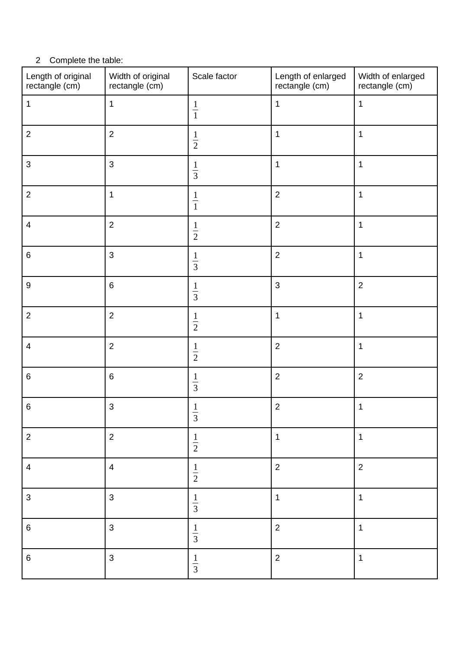# Complete the table:

| Length of original<br>rectangle (cm) | Width of original<br>rectangle (cm) | Scale factor                 | Length of enlarged<br>rectangle (cm) | Width of enlarged<br>rectangle (cm) |
|--------------------------------------|-------------------------------------|------------------------------|--------------------------------------|-------------------------------------|
| $\mathbf 1$                          | $\mathbf 1$                         | $\frac{1}{1}$                | $\mathbf 1$                          | $\mathbf 1$                         |
| $\overline{c}$                       | $\overline{c}$                      | $\frac{1}{2}$                | $\mathbf 1$                          | $\mathbf 1$                         |
| $\mathsf 3$                          | $\mathsf 3$                         | $\frac{1}{3}$                | $\mathbf 1$                          | $\mathbf 1$                         |
| $\mathbf{2}$                         | $\mathbf 1$                         | $\frac{1}{1}$                | $\overline{2}$                       | $\mathbf 1$                         |
| $\pmb{4}$                            | $\overline{c}$                      | $\frac{1}{2}$                | $\overline{2}$                       | $\mathbf 1$                         |
| $\,6\,$                              | $\mathsf{3}$                        | $\frac{1}{3}$                | $\overline{2}$                       | $\mathbf 1$                         |
| $\boldsymbol{9}$                     | $\,6\,$                             | $\frac{1}{3}$                | $\sqrt{3}$                           | $\overline{2}$                      |
| $\overline{c}$                       | $\overline{c}$                      | $\frac{1}{2}$                | $\mathbf 1$                          | $\mathbf 1$                         |
| $\overline{4}$                       | $\overline{c}$                      | $\frac{1}{2}$                | $\sqrt{2}$                           | $\mathbf 1$                         |
| $\,6\,$                              | $\,6\,$                             | $\frac{1}{3}$                | $\overline{2}$                       | $\overline{c}$                      |
| $\,6\,$                              | $\mathsf 3$                         | $\mathbf{1}$<br>$\mathsf{3}$ | $\overline{c}$                       | $\mathbf 1$                         |
| $\overline{2}$                       | $\overline{2}$                      | $\frac{1}{2}$                | $\mathbf{1}$                         | $\mathbf{1}$                        |
| $\overline{4}$                       | $\overline{4}$                      | $\frac{1}{2}$                | $\overline{2}$                       | $\overline{2}$                      |
| $\mathsf{3}$                         | $\mathsf{3}$                        | $\frac{1}{3}$                | $\mathbf 1$                          | $\mathbf 1$                         |
| $\,6\,$                              | $\mathsf{3}$                        | $rac{1}{3}$                  | $\overline{2}$                       | $\mathbf{1}$                        |
| $\,6\,$                              | $\mathsf 3$                         | $\frac{1}{3}$                | $\overline{c}$                       | $\mathbf 1$                         |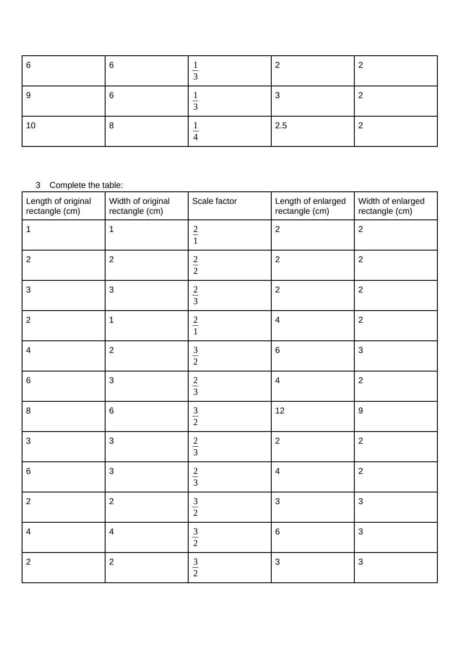| 6  | ~ |     |  |
|----|---|-----|--|
|    |   |     |  |
| 10 |   | 2.5 |  |

## Complete the table:

| . .<br>Length of original<br>rectangle (cm) | Width of original<br>rectangle (cm) | Scale factor | Length of enlarged<br>rectangle (cm) | Width of enlarged<br>rectangle (cm) |
|---------------------------------------------|-------------------------------------|--------------|--------------------------------------|-------------------------------------|
| $\mathbf 1$                                 | $\mathbf 1$                         | $rac{2}{1}$  | $\overline{2}$                       | $\overline{2}$                      |
| $\overline{c}$                              | $\overline{2}$                      | $rac{2}{2}$  | $\overline{2}$                       | $\overline{c}$                      |
| 3                                           | $\mathsf{3}$                        | $rac{2}{3}$  | $\overline{2}$                       | $\overline{2}$                      |
| $\overline{2}$                              | $\mathbf 1$                         | $rac{2}{1}$  | $\overline{\mathcal{A}}$             | $\overline{2}$                      |
| $\pmb{4}$                                   | $\overline{2}$                      | $rac{3}{2}$  | $\,6\,$                              | 3                                   |
| $\,6\,$                                     | $\mathsf 3$                         | $rac{2}{3}$  | $\pmb{4}$                            | $\overline{2}$                      |
| 8                                           | $\,6\,$                             | $rac{3}{2}$  | 12                                   | 9                                   |
| 3                                           | 3                                   | $rac{2}{3}$  | $\overline{c}$                       | $\overline{c}$                      |
| $\,6\,$                                     | $\mathsf{3}$                        | $rac{2}{3}$  | $\overline{4}$                       | $\overline{c}$                      |
| $\overline{2}$                              | $\overline{c}$                      | $rac{3}{2}$  | $\mathsf{3}$                         | 3                                   |
| $\overline{\mathbf{4}}$                     | $\overline{4}$                      | $rac{3}{2}$  | $\,6\,$                              | 3                                   |
| $\overline{c}$                              | $\overline{2}$                      | $rac{3}{2}$  | 3                                    | 3                                   |